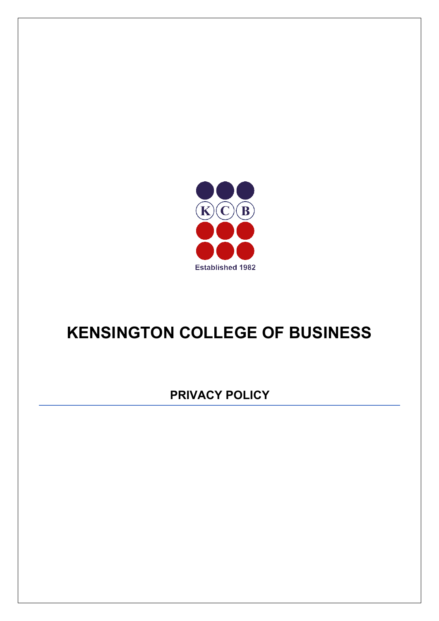

# **KENSINGTON COLLEGE OF BUSINESS**

**PRIVACY POLICY**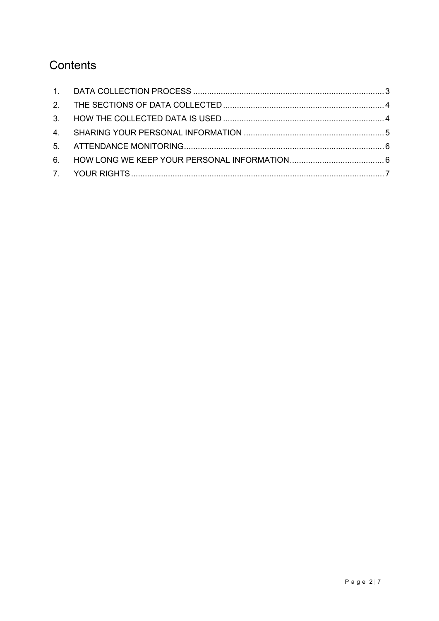# Contents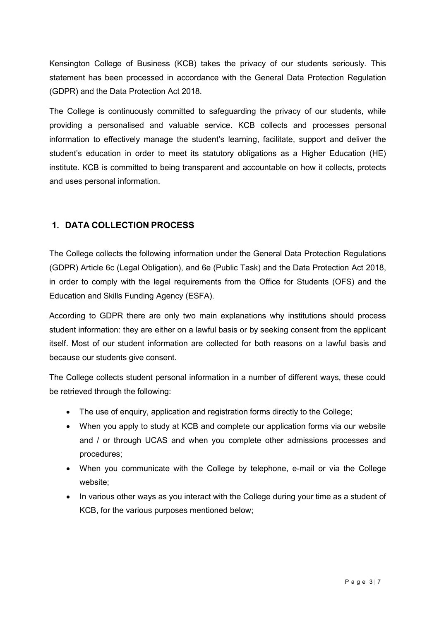Kensington College of Business (KCB) takes the privacy of our students seriously. This statement has been processed in accordance with the General Data Protection Regulation (GDPR) and the Data Protection Act 2018.

The College is continuously committed to safeguarding the privacy of our students, while providing a personalised and valuable service. KCB collects and processes personal information to effectively manage the student's learning, facilitate, support and deliver the student's education in order to meet its statutory obligations as a Higher Education (HE) institute. KCB is committed to being transparent and accountable on how it collects, protects and uses personal information.

# <span id="page-2-0"></span>**1. DATA COLLECTION PROCESS**

The College collects the following information under the General Data Protection Regulations (GDPR) Article 6c (Legal Obligation), and 6e (Public Task) and the Data Protection Act 2018, in order to comply with the legal requirements from the Office for Students (OFS) and the Education and Skills Funding Agency (ESFA).

According to GDPR there are only two main explanations why institutions should process student information: they are either on a lawful basis or by seeking consent from the applicant itself. Most of our student information are collected for both reasons on a lawful basis and because our students give consent.

The College collects student personal information in a number of different ways, these could be retrieved through the following:

- The use of enquiry, application and registration forms directly to the College;
- When you apply to study at KCB and complete our application forms via our website and / or through UCAS and when you complete other admissions processes and procedures;
- When you communicate with the College by telephone, e-mail or via the College website;
- In various other ways as you interact with the College during your time as a student of KCB, for the various purposes mentioned below;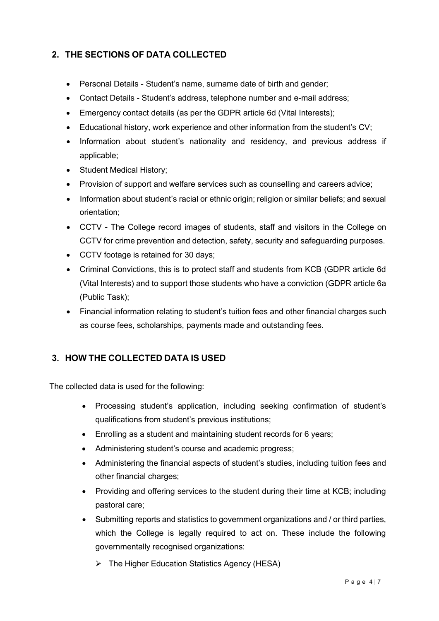# <span id="page-3-0"></span>**2. THE SECTIONS OF DATA COLLECTED**

- Personal Details Student's name, surname date of birth and gender;
- Contact Details Student's address, telephone number and e-mail address;
- Emergency contact details (as per the GDPR article 6d (Vital Interests);
- Educational history, work experience and other information from the student's CV;
- Information about student's nationality and residency, and previous address if applicable;
- Student Medical History;
- Provision of support and welfare services such as counselling and careers advice;
- Information about student's racial or ethnic origin; religion or similar beliefs; and sexual orientation;
- CCTV The College record images of students, staff and visitors in the College on CCTV for crime prevention and detection, safety, security and safeguarding purposes.
- CCTV footage is retained for 30 days;
- Criminal Convictions, this is to protect staff and students from KCB (GDPR article 6d (Vital Interests) and to support those students who have a conviction (GDPR article 6a (Public Task);
- Financial information relating to student's tuition fees and other financial charges such as course fees, scholarships, payments made and outstanding fees.

# <span id="page-3-1"></span>**3. HOW THE COLLECTED DATA IS USED**

The collected data is used for the following:

- Processing student's application, including seeking confirmation of student's qualifications from student's previous institutions;
- Enrolling as a student and maintaining student records for 6 years;
- Administering student's course and academic progress;
- Administering the financial aspects of student's studies, including tuition fees and other financial charges;
- Providing and offering services to the student during their time at KCB; including pastoral care;
- Submitting reports and statistics to government organizations and / or third parties, which the College is legally required to act on. These include the following governmentally recognised organizations:
	- $\triangleright$  The Higher Education Statistics Agency (HESA)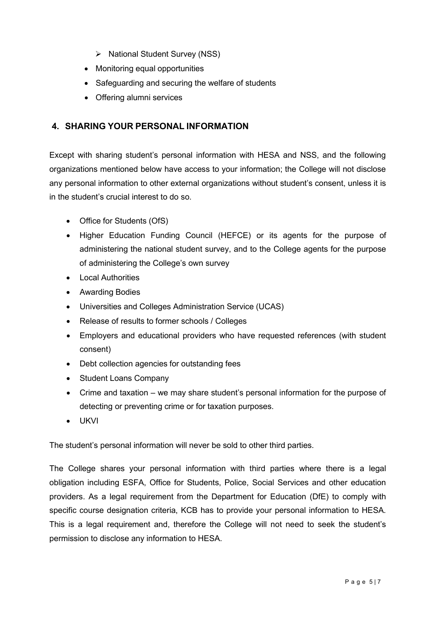- $\triangleright$  National Student Survey (NSS)
- Monitoring equal opportunities
- Safeguarding and securing the welfare of students
- Offering alumni services

# <span id="page-4-0"></span>**4. SHARING YOUR PERSONAL INFORMATION**

Except with sharing student's personal information with HESA and NSS, and the following organizations mentioned below have access to your information; the College will not disclose any personal information to other external organizations without student's consent, unless it is in the student's crucial interest to do so.

- Office for Students (OfS)
- Higher Education Funding Council (HEFCE) or its agents for the purpose of administering the national student survey, and to the College agents for the purpose of administering the College's own survey
- Local Authorities
- Awarding Bodies
- Universities and Colleges Administration Service (UCAS)
- Release of results to former schools / Colleges
- Employers and educational providers who have requested references (with student consent)
- Debt collection agencies for outstanding fees
- Student Loans Company
- Crime and taxation we may share student's personal information for the purpose of detecting or preventing crime or for taxation purposes.
- UKVI

The student's personal information will never be sold to other third parties.

The College shares your personal information with third parties where there is a legal obligation including ESFA, Office for Students, Police, Social Services and other education providers. As a legal requirement from the Department for Education (DfE) to comply with specific course designation criteria, KCB has to provide your personal information to HESA. This is a legal requirement and, therefore the College will not need to seek the student's permission to disclose any information to HESA.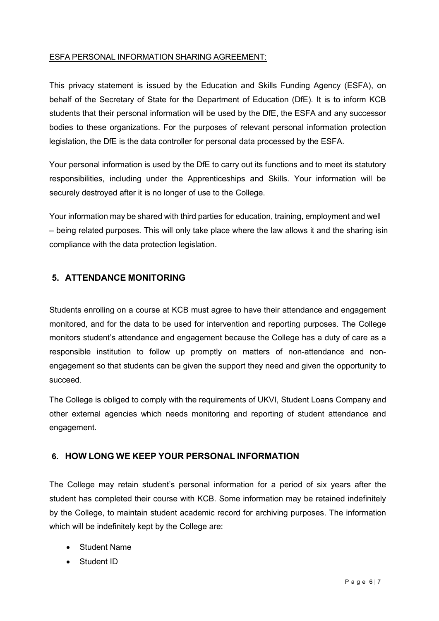#### ESFA PERSONAL INFORMATION SHARING AGREEMENT:

This privacy statement is issued by the Education and Skills Funding Agency (ESFA), on behalf of the Secretary of State for the Department of Education (DfE). It is to inform KCB students that their personal information will be used by the DfE, the ESFA and any successor bodies to these organizations. For the purposes of relevant personal information protection legislation, the DfE is the data controller for personal data processed by the ESFA.

Your personal information is used by the DfE to carry out its functions and to meet its statutory responsibilities, including under the Apprenticeships and Skills. Your information will be securely destroyed after it is no longer of use to the College.

Your information may be shared with third parties for education, training, employment and well – being related purposes. This will only take place where the law allows it and the sharing isin compliance with the data protection legislation.

# <span id="page-5-0"></span>**5. ATTENDANCE MONITORING**

Students enrolling on a course at KCB must agree to have their attendance and engagement monitored, and for the data to be used for intervention and reporting purposes. The College monitors student's attendance and engagement because the College has a duty of care as a responsible institution to follow up promptly on matters of non-attendance and nonengagement so that students can be given the support they need and given the opportunity to succeed.

The College is obliged to comply with the requirements of UKVI, Student Loans Company and other external agencies which needs monitoring and reporting of student attendance and engagement.

# <span id="page-5-1"></span>**6. HOW LONG WE KEEP YOUR PERSONAL INFORMATION**

The College may retain student's personal information for a period of six years after the student has completed their course with KCB. Some information may be retained indefinitely by the College, to maintain student academic record for archiving purposes. The information which will be indefinitely kept by the College are:

- Student Name
- Student ID